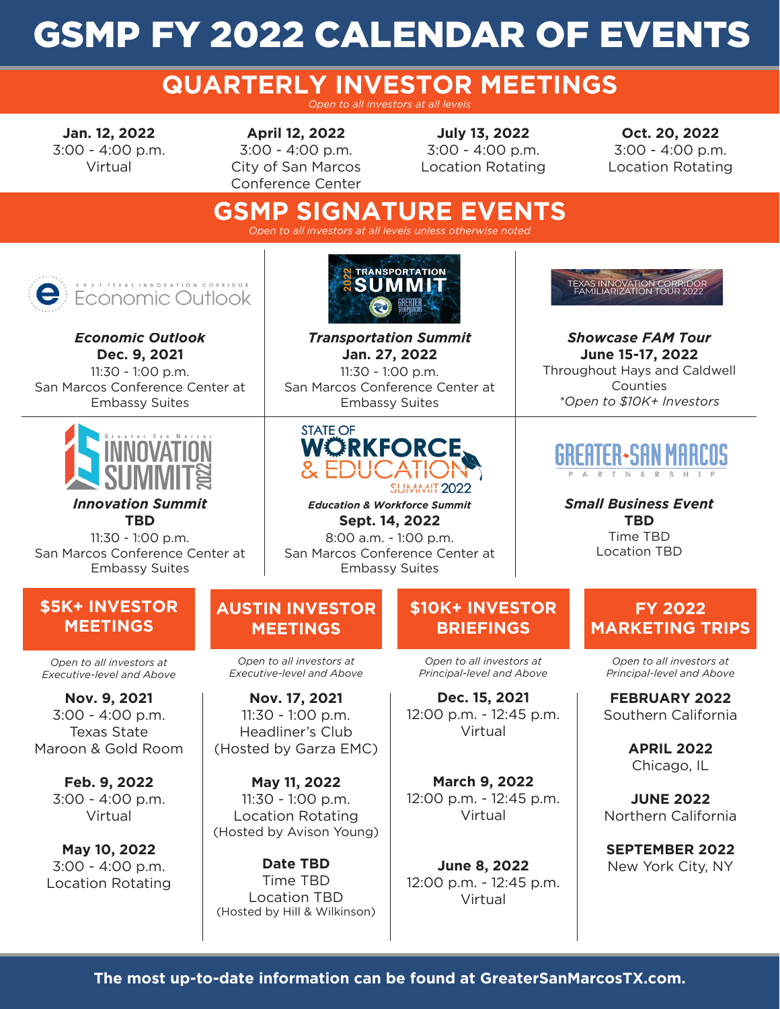# GSMP FY 2022 CALENDAR OF EVENTS

### **QUARTERLY INVESTOR MEETINGS** *Open to all investors at all levels*

**Jan. 12, 2022** 3:00 - 4:00 p.m. Virtual

**April 12, 2022** 3:00 - 4:00 p.m. City of San Marcos Conference Center

**July 13, 2022** 3:00 - 4:00 p.m. Location Rotating

**Oct. 20, 2022** 3:00 - 4:00 p.m. Location Rotating

### **GSMP SIGNATURE EVENTS** *Open to all investors at all levels unless otherwise noted*

2 1 TEXAS INNOVATION CORRIDOR **Economic Outlook** 

*Economic Outlook* **Dec. 9, 2021** 11:30 - 1:00 p.m. San Marcos Conference Center at Embassy Suites



*Innovation Summit* **TBD**

11:30 - 1:00 p.m. San Marcos Conference Center at Embassy Suites



*Transportation Summit* **Jan. 27, 2022** 11:30 - 1:00 p.m. San Marcos Conference Center at Embassy Suites



*Education & Workforce Summit* **Sept. 14, 2022** 8:00 a.m. - 1:00 p.m. San Marcos Conference Center at Embassy Suites

## TEXAS INNOVATION CORR<br>: FAMILIARIZATION TOUR

*Showcase FAM Tour* **June 15-17, 2022** Throughout Hays and Caldwell Counties *\*Open to \$10K+ Investors*



*Small Business Event* **TBD** Time TBD Location TBD

### **\$5K+ INVESTOR MEETINGS**

*Open to all investors at Executive-level and Above*

**Nov. 9, 2021** 3:00 - 4:00 p.m. Texas State Maroon & Gold Room

> **Feb. 9, 2022** 3:00 - 4:00 p.m. Virtual

**May 10, 2022** 3:00 - 4:00 p.m. Location Rotating

### **AUSTIN INVESTOR MEETINGS**

*Open to all investors at Executive-level and Above*

**Nov. 17, 2021** 11:30 - 1:00 p.m. Headliner's Club (Hosted by Garza EMC)

**May 11, 2022** 11:30 - 1:00 p.m. Location Rotating (Hosted by Avison Young)

**Date TBD** Time TBD Location TBD (Hosted by Hill & Wilkinson)

## **\$10K+ INVESTOR BRIEFINGS**

*Open to all investors at Principal-level and Above*

**Dec. 15, 2021** 12:00 p.m. - 12:45 p.m. Virtual

**March 9, 2022** 12:00 p.m. - 12:45 p.m. Virtual

**June 8, 2022** 12:00 p.m. - 12:45 p.m. Virtual

**FY 2022 MARKETING TRIPS**

*Open to all investors at Principal-level and Above*

**FEBRUARY 2022** Southern California

> **APRIL 2022** Chicago, IL

**JUNE 2022** Northern California

**SEPTEMBER 2022** New York City, NY